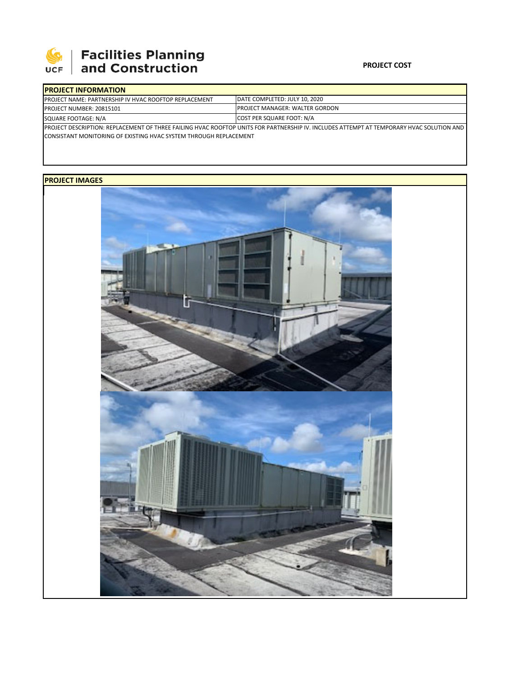

# **SEPTE AND Facilities Planning**<br>UCF and Construction

### **PROJECT COST**

| <b>IPROJECT INFORMATION</b>                                                                                                               |                                        |  |  |  |  |  |  |
|-------------------------------------------------------------------------------------------------------------------------------------------|----------------------------------------|--|--|--|--|--|--|
| <b>IPROJECT NAME: PARTNERSHIP IV HVAC ROOFTOP REPLACEMENT</b>                                                                             | DATE COMPLETED: JULY 10, 2020          |  |  |  |  |  |  |
| <b>IPROJECT NUMBER: 20815101</b>                                                                                                          | <b>IPROJECT MANAGER: WALTER GORDON</b> |  |  |  |  |  |  |
| SQUARE FOOTAGE: N/A                                                                                                                       | COST PER SQUARE FOOT: N/A              |  |  |  |  |  |  |
| IPROJECT DESCRIPTION: REPLACEMENT OF THREE FAILING HVAC ROOFTOP UNITS FOR PARTNERSHIP IV. INCLUDES ATTEMPT AT TEMPORARY HVAC SOLUTION AND |                                        |  |  |  |  |  |  |
| <b>ICONSISTANT MONITORING OF EXISTING HVAC SYSTEM THROUGH REPLACEMENT</b>                                                                 |                                        |  |  |  |  |  |  |

## **PROJECT IMAGES**